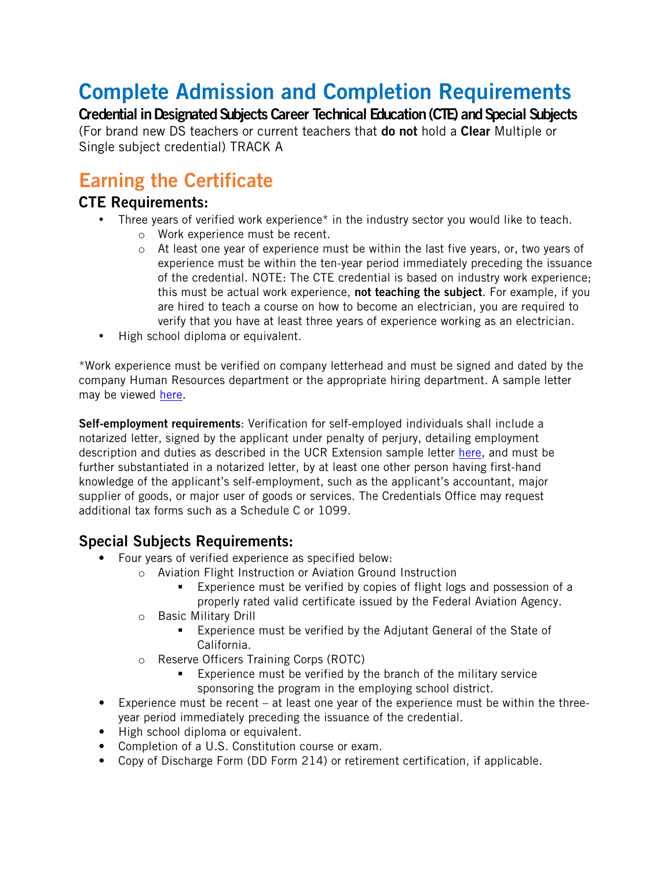# Complete Admission and Completion Requirements

Credential in Designated Subjects Career Technical Education (CTE) and Special Subjects

(For brand new DS teachers or current teachers that do not hold a Clear Multiple or Single subject credential) TRACK A

## Earning the Certificate

#### CTE Requirements:

- Three years of verified work experience\* in the industry sector you would like to teach.
	- o Work experience must be recent.
	- o At least one year of experience must be within the last five years, or, two years of experience must be within the ten-year period immediately preceding the issuance of the credential. NOTE: The CTE credential is based on industry work experience; this must be actual work experience, not teaching the subject. For example, if you are hired to teach a course on how to become an electrician, you are required to verify that you have at least three years of experience working as an electrician.
- High school diploma or equivalent.

\*Work experience must be verified on company letterhead and must be signed and dated by the company Human Resources department or the appropriate hiring department. A sample letter may be viewed [here.](http://www.extension.ucr.edu/pdf/certificateprograms/dsctesampleworkverificationletter.pdf)

Self-employment requirements: Verification for self-employed individuals shall include a notarized letter, signed by the applicant under penalty of perjury, detailing employment description and duties as described in the UCR Extension sample letter [here,](http://www.extension.ucr.edu/pdf/certificateprograms/dsctesampleworkverificationletter.pdf) and must be further substantiated in a notarized letter, by at least one other person having first-hand knowledge of the applicant's self-employment, such as the applicant's accountant, major supplier of goods, or major user of goods or services. The Credentials Office may request additional tax forms such as a Schedule C or 1099.

### Special Subjects Requirements:

- Four years of verified experience as specified below:
	- o Aviation Flight Instruction or Aviation Ground Instruction
		- Experience must be verified by copies of flight logs and possession of a properly rated valid certificate issued by the Federal Aviation Agency.
	- o Basic Military Drill
		- Experience must be verified by the Adjutant General of the State of California.
	- o Reserve Officers Training Corps (ROTC)
		- Experience must be verified by the branch of the military service sponsoring the program in the employing school district.
- Experience must be recent at least one year of the experience must be within the threeyear period immediately preceding the issuance of the credential.
- High school diploma or equivalent.
- Completion of a U.S. Constitution course or exam.
- Copy of Discharge Form (DD Form 214) or retirement certification, if applicable.